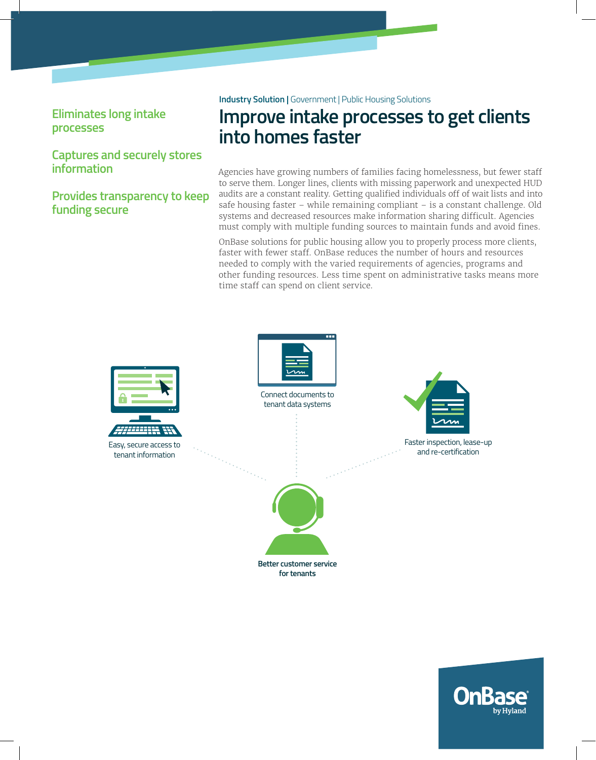## **Eliminates long intake processes**

## **Captures and securely stores information**

**Provides transparency to keep funding secure**

**Industry Solution |** Government | Public Housing Solutions

# **Improve intake processes to get clients into homes faster**

Agencies have growing numbers of families facing homelessness, but fewer staf to serve them. Longer lines, clients with missing paperwork and unexpected HUD audits are a constant reality. Getting qualified individuals off of wait lists and into safe housing faster – while remaining compliant – is a constant challenge. Old systems and decreased resources make information sharing difficult. Agencies must comply with multiple funding sources to maintain funds and avoid fines.

OnBase solutions for public housing allow you to properly process more clients, faster with fewer staff. OnBase reduces the number of hours and resources needed to comply with the varied requirements of agencies, programs and other funding resources. Less time spent on administrative tasks means more time staff can spend on client service.